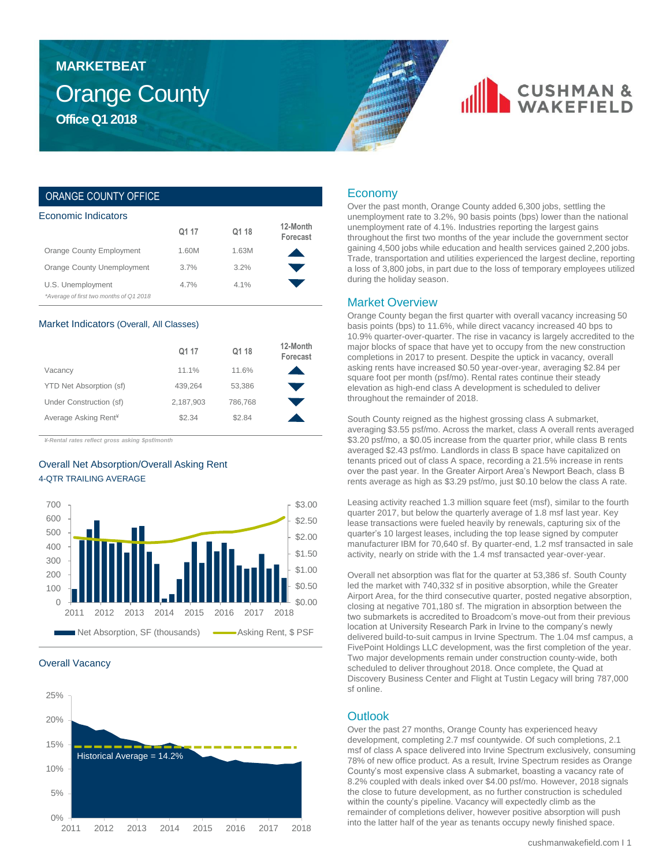### Orange County **Office Q1 2018 MARKETBEAT**

## **CUSHMAN &**

### ORANGE COUNTY OFFICE

| Economic Indicators                    |       |         |                      |  |  |  |  |
|----------------------------------------|-------|---------|----------------------|--|--|--|--|
|                                        | Q1 17 | Q1 18   | 12-Month<br>Forecast |  |  |  |  |
| Orange County Employment               | 1.60M | 1.63M   |                      |  |  |  |  |
| Orange County Unemployment             | 3.7%  | 3.2%    |                      |  |  |  |  |
| U.S. Unemployment                      | 4.7%  | $4.1\%$ |                      |  |  |  |  |
| *Average of first two months of Q12018 |       |         |                      |  |  |  |  |

#### Market Indicators (Overall, All Classes)

|                                  | Q1 17     | Q1 18   | 12-Month<br>Forecast |
|----------------------------------|-----------|---------|----------------------|
| Vacancy                          | 11.1%     | 11.6%   |                      |
| YTD Net Absorption (sf)          | 439.264   | 53,386  |                      |
| Under Construction (sf)          | 2,187,903 | 786.768 |                      |
| Average Asking Rent <sup>¥</sup> | \$2.34    | \$2.84  |                      |

*¥-Rental rates reflect gross asking \$psf/month*

### Overall Net Absorption/Overall Asking Rent 4-QTR TRAILING AVERAGE



#### Overall Vacancy



### Economy

Over the past month, Orange County added 6,300 jobs, settling the unemployment rate to 3.2%, 90 basis points (bps) lower than the national unemployment rate of 4.1%. Industries reporting the largest gains throughout the first two months of the year include the government sector gaining 4,500 jobs while education and health services gained 2,200 jobs. Trade, transportation and utilities experienced the largest decline, reporting a loss of 3,800 jobs, in part due to the loss of temporary employees utilized during the holiday season.

### Market Overview

Orange County began the first quarter with overall vacancy increasing 50 basis points (bps) to 11.6%, while direct vacancy increased 40 bps to 10.9% quarter-over-quarter. The rise in vacancy is largely accredited to the major blocks of space that have yet to occupy from the new construction completions in 2017 to present. Despite the uptick in vacancy, overall asking rents have increased \$0.50 year-over-year, averaging \$2.84 per square foot per month (psf/mo). Rental rates continue their steady elevation as high-end class A development is scheduled to deliver throughout the remainder of 2018.

South County reigned as the highest grossing class A submarket, averaging \$3.55 psf/mo. Across the market, class A overall rents averaged \$3.20 psf/mo, a \$0.05 increase from the quarter prior, while class B rents averaged \$2.43 psf/mo. Landlords in class B space have capitalized on tenants priced out of class A space, recording a 21.5% increase in rents over the past year. In the Greater Airport Area's Newport Beach, class B rents average as high as \$3.29 psf/mo, just \$0.10 below the class A rate.

Leasing activity reached 1.3 million square feet (msf), similar to the fourth quarter 2017, but below the quarterly average of 1.8 msf last year. Key lease transactions were fueled heavily by renewals, capturing six of the quarter's 10 largest leases, including the top lease signed by computer manufacturer IBM for 70,640 sf. By quarter-end, 1.2 msf transacted in sale activity, nearly on stride with the 1.4 msf transacted year-over-year.

Overall net absorption was flat for the quarter at 53,386 sf. South County led the market with 740,332 sf in positive absorption, while the Greater Airport Area, for the third consecutive quarter, posted negative absorption, closing at negative 701,180 sf. The migration in absorption between the two submarkets is accredited to Broadcom's move-out from their previous location at University Research Park in Irvine to the company's newly delivered build-to-suit campus in Irvine Spectrum. The 1.04 msf campus, a FivePoint Holdings LLC development, was the first completion of the year. Two major developments remain under construction county-wide, both scheduled to deliver throughout 2018. Once complete, the Quad at Discovery Business Center and Flight at Tustin Legacy will bring 787,000 sf online.

### **Outlook**

Over the past 27 months, Orange County has experienced heavy development, completing 2.7 msf countywide. Of such completions, 2.1 msf of class A space delivered into Irvine Spectrum exclusively, consuming 78% of new office product. As a result, Irvine Spectrum resides as Orange County's most expensive class A submarket, boasting a vacancy rate of 8.2% coupled with deals inked over \$4.00 psf/mo. However, 2018 signals the close to future development, as no further construction is scheduled within the county's pipeline. Vacancy will expectedly climb as the remainder of completions deliver, however positive absorption will push into the latter half of the year as tenants occupy newly finished space.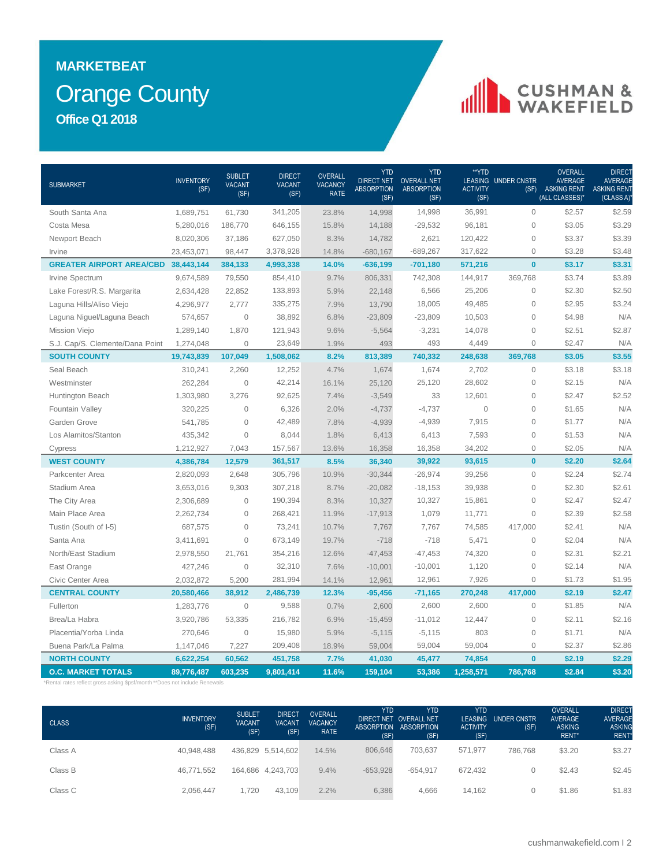### Orange County **MARKETBEAT Office Q1 2018**

# CUSHMAN &

| <b>SUBMARKET</b>                                                                                        | <b>INVENTORY</b><br>(SF) | <b>SUBLET</b><br><b>VACANT</b><br>(SF) | <b>DIRECT</b><br><b>VACANT</b><br>(SF) | <b>OVERALL</b><br><b>VACANCY</b><br><b>RATE</b> | <b>YTD</b><br><b>DIRECT NET</b><br><b>ABSORPTION</b><br>(SF) | YTD<br><b>OVERALL NET</b><br><b>ABSORPTION</b><br>(SF) | **YTD<br><b>ACTIVITY</b><br>(SF) | <b>LEASING UNDER CNSTR</b><br>(SF) | <b>OVERALL</b><br><b>AVERAGE</b><br><b>ASKING RENT</b><br>(ALL CLASSES)* | DIRECT<br><b>AVERAGE</b><br><b>ASKING RENT</b><br>(CLASS A) |
|---------------------------------------------------------------------------------------------------------|--------------------------|----------------------------------------|----------------------------------------|-------------------------------------------------|--------------------------------------------------------------|--------------------------------------------------------|----------------------------------|------------------------------------|--------------------------------------------------------------------------|-------------------------------------------------------------|
| South Santa Ana                                                                                         | 1,689,751                | 61,730                                 | 341,205                                | 23.8%                                           | 14,998                                                       | 14,998                                                 | 36,991                           | $\mathbf{O}$                       | \$2.57                                                                   | \$2.59                                                      |
| Costa Mesa                                                                                              | 5,280,016                | 186,770                                | 646,155                                | 15.8%                                           | 14,188                                                       | $-29,532$                                              | 96,181                           | $\mathbf{0}$                       | \$3.05                                                                   | \$3.29                                                      |
| Newport Beach                                                                                           | 8,020,306                | 37,186                                 | 627,050                                | 8.3%                                            | 14,782                                                       | 2,621                                                  | 120,422                          | $\mathsf{O}\xspace$                | \$3.37                                                                   | \$3.39                                                      |
| Irvine                                                                                                  | 23,453,071               | 98,447                                 | 3,378,928                              | 14.8%                                           | $-680,167$                                                   | $-689,267$                                             | 317,622                          | $\mathsf{O}\xspace$                | \$3.28                                                                   | \$3.48                                                      |
| <b>GREATER AIRPORT AREA/CBD 38,443,144</b>                                                              |                          | 384,133                                | 4,993,338                              | 14.0%                                           | $-636,199$                                                   | $-701,180$                                             | 571,216                          | $\mathbf{0}$                       | \$3.17                                                                   | \$3.31                                                      |
| Irvine Spectrum                                                                                         | 9,674,589                | 79,550                                 | 854,410                                | 9.7%                                            | 806,331                                                      | 742,308                                                | 144,917                          | 369,768                            | \$3.74                                                                   | \$3.89                                                      |
| Lake Forest/R.S. Margarita                                                                              | 2,634,428                | 22,852                                 | 133,893                                | 5.9%                                            | 22,148                                                       | 6,566                                                  | 25,206                           | $\mathsf{O}\xspace$                | \$2.30                                                                   | \$2.50                                                      |
| Laguna Hills/Aliso Viejo                                                                                | 4,296,977                | 2,777                                  | 335,275                                | 7.9%                                            | 13,790                                                       | 18,005                                                 | 49,485                           | $\mathsf{O}\xspace$                | \$2.95                                                                   | \$3.24                                                      |
| Laguna Niguel/Laguna Beach                                                                              | 574,657                  | $\overline{0}$                         | 38,892                                 | 6.8%                                            | $-23,809$                                                    | $-23,809$                                              | 10,503                           | $\mathbf{O}$                       | \$4.98                                                                   | N/A                                                         |
| Mission Viejo                                                                                           | 1,289,140                | 1,870                                  | 121,943                                | 9.6%                                            | $-5,564$                                                     | $-3,231$                                               | 14,078                           | $\mathsf{O}\xspace$                | \$2.51                                                                   | \$2.87                                                      |
| S.J. Cap/S. Clemente/Dana Point                                                                         | 1,274,048                | $\mathbf{0}$                           | 23,649                                 | 1.9%                                            | 493                                                          | 493                                                    | 4,449                            | $\mathbf{O}$                       | \$2.47                                                                   | N/A                                                         |
| <b>SOUTH COUNTY</b>                                                                                     | 19,743,839               | 107,049                                | 1,508,062                              | 8.2%                                            | 813,389                                                      | 740,332                                                | 248,638                          | 369,768                            | \$3.05                                                                   | \$3.55                                                      |
| Seal Beach                                                                                              | 310,241                  | 2,260                                  | 12,252                                 | 4.7%                                            | 1,674                                                        | 1,674                                                  | 2,702                            | $\mathbf 0$                        | \$3.18                                                                   | \$3.18                                                      |
| Westminster                                                                                             | 262,284                  | $\mathbf 0$                            | 42,214                                 | 16.1%                                           | 25,120                                                       | 25,120                                                 | 28,602                           | $\mathsf{O}\xspace$                | \$2.15                                                                   | N/A                                                         |
| Huntington Beach                                                                                        | 1,303,980                | 3,276                                  | 92,625                                 | 7.4%                                            | $-3,549$                                                     | 33                                                     | 12,601                           | $\mathbf{0}$                       | \$2.47                                                                   | \$2.52                                                      |
| Fountain Valley                                                                                         | 320,225                  | $\overline{0}$                         | 6,326                                  | 2.0%                                            | $-4,737$                                                     | $-4,737$                                               | $\mathbf 0$                      | $\mathbf{O}$                       | \$1.65                                                                   | N/A                                                         |
| Garden Grove                                                                                            | 541,785                  | $\mathbf 0$                            | 42,489                                 | 7.8%                                            | $-4,939$                                                     | $-4,939$                                               | 7,915                            | $\mathbf{O}$                       | \$1.77                                                                   | N/A                                                         |
| Los Alamitos/Stanton                                                                                    | 435,342                  | $\mathbf 0$                            | 8,044                                  | 1.8%                                            | 6,413                                                        | 6,413                                                  | 7,593                            | $\mathsf{O}\xspace$                | \$1.53                                                                   | N/A                                                         |
| Cypress                                                                                                 | 1,212,927                | 7,043                                  | 157,567                                | 13.6%                                           | 16,358                                                       | 16,358                                                 | 34,202                           | $\mathbf{O}$                       | \$2.05                                                                   | N/A                                                         |
| <b>WEST COUNTY</b>                                                                                      | 4,386,784                | 12,579                                 | 361,517                                | 8.5%                                            | 36,340                                                       | 39,922                                                 | 93,615                           | $\bf{0}$                           | \$2.20                                                                   | \$2.64                                                      |
| Parkcenter Area                                                                                         | 2,820,093                | 2,648                                  | 305,796                                | 10.9%                                           | $-30,344$                                                    | $-26,974$                                              | 39,256                           | $\mathbf{O}$                       | \$2.24                                                                   | \$2.74                                                      |
| Stadium Area                                                                                            | 3,653,016                | 9,303                                  | 307,218                                | 8.7%                                            | $-20,082$                                                    | $-18,153$                                              | 39,938                           | $\mathsf{O}\xspace$                | \$2.30                                                                   | \$2.61                                                      |
| The City Area                                                                                           | 2,306,689                | $\Omega$                               | 190,394                                | 8.3%                                            | 10,327                                                       | 10,327                                                 | 15,861                           | $\mathbf{O}$                       | \$2.47                                                                   | \$2.47                                                      |
| Main Place Area                                                                                         | 2,262,734                | $\mathbf 0$                            | 268,421                                | 11.9%                                           | $-17,913$                                                    | 1,079                                                  | 11,771                           | $\mathsf{O}\xspace$                | \$2.39                                                                   | \$2.58                                                      |
| Tustin (South of I-5)                                                                                   | 687,575                  | $\Omega$                               | 73,241                                 | 10.7%                                           | 7,767                                                        | 7,767                                                  | 74,585                           | 417,000                            | \$2.41                                                                   | N/A                                                         |
| Santa Ana                                                                                               | 3,411,691                | $\mathbf 0$                            | 673,149                                | 19.7%                                           | $-718$                                                       | $-718$                                                 | 5,471                            | $\overline{0}$                     | \$2.04                                                                   | N/A                                                         |
| North/East Stadium                                                                                      | 2,978,550                | 21,761                                 | 354,216                                | 12.6%                                           | $-47,453$                                                    | $-47,453$                                              | 74,320                           | $\mathsf{O}\xspace$                | \$2.31                                                                   | \$2.21                                                      |
| East Orange                                                                                             | 427,246                  | $\mathbf 0$                            | 32,310                                 | 7.6%                                            | $-10,001$                                                    | $-10,001$                                              | 1,120                            | $\overline{0}$                     | \$2.14                                                                   | N/A                                                         |
| Civic Center Area                                                                                       | 2,032,872                | 5,200                                  | 281,994                                | 14.1%                                           | 12,961                                                       | 12,961                                                 | 7,926                            | $\mathsf{O}\xspace$                | \$1.73                                                                   | \$1.95                                                      |
| <b>CENTRAL COUNTY</b>                                                                                   | 20,580,466               | 38,912                                 | 2,486,739                              | 12.3%                                           | $-95,456$                                                    | $-71,165$                                              | 270,248                          | 417,000                            | \$2.19                                                                   | \$2.47                                                      |
| Fullerton                                                                                               | 1,283,776                | $\mathbf 0$                            | 9,588                                  | 0.7%                                            | 2,600                                                        | 2,600                                                  | 2,600                            | $\mathsf{O}\xspace$                | \$1.85                                                                   | N/A                                                         |
| Brea/La Habra                                                                                           | 3,920,786                | 53,335                                 | 216,782                                | 6.9%                                            | $-15,459$                                                    | $-11,012$                                              | 12,447                           | $\mathsf{O}\xspace$                | \$2.11                                                                   | \$2.16                                                      |
| Placentia/Yorba Linda                                                                                   | 270,646                  | $\mathbf 0$                            | 15,980                                 | 5.9%                                            | $-5,115$                                                     | $-5,115$                                               | 803                              | $\mathsf{O}\xspace$                | \$1.71                                                                   | N/A                                                         |
| Buena Park/La Palma                                                                                     | 1,147,046                | 7,227                                  | 209,408                                | 18.9%                                           | 59,004                                                       | 59,004                                                 | 59,004                           | $\mathbf 0$                        | \$2.37                                                                   | \$2.86                                                      |
| <b>NORTH COUNTY</b>                                                                                     | 6,622,254                | 60,562                                 | 451,758                                | 7.7%                                            | 41,030                                                       | 45,477                                                 | 74,854                           | $\mathbf{0}$                       | \$2.19                                                                   | \$2.29                                                      |
| <b>O.C. MARKET TOTALS</b><br>*Rental rates reflect gross asking \$psf/month **Does not include Renewals | 89,776,487               | 603,235                                | 9,801,414                              | 11.6%                                           | 159,104                                                      | 53,386                                                 | 1,258,571                        | 786,768                            | \$2.84                                                                   | \$3.20                                                      |
|                                                                                                         |                          |                                        |                                        |                                                 |                                                              |                                                        |                                  |                                    |                                                                          |                                                             |

| <b>CLASS</b> | <b>INVENTORY</b><br>(SF) | <b>SUBLET</b><br><b>VACANT</b><br>(SF) | <b>DIRECT</b><br><b>VACANT</b><br>(SF) | <b>OVERALL</b><br><b>VACANCY</b><br><b>RATE</b> | <b>YTD</b><br>(SF) | <b>YTD</b><br>DIRECT NET OVERALL NET<br>ABSORPTION ABSORPTION<br>(SF) | <b>YTD</b><br><b>ACTIVITY</b><br>(SF) | LEASING UNDER CNSTR<br>(SF) | <b>OVERALL</b><br><b>AVERAGE</b><br><b>ASKING</b><br>RENT* | <b>DIRECT</b><br><b>AVERAGE</b><br><b>ASKING</b><br><b>RENT</b> |
|--------------|--------------------------|----------------------------------------|----------------------------------------|-------------------------------------------------|--------------------|-----------------------------------------------------------------------|---------------------------------------|-----------------------------|------------------------------------------------------------|-----------------------------------------------------------------|
| Class A      | 40.948.488               |                                        | 436,829 5,514,602                      | 14.5%                                           | 806,646            | 703.637                                                               | 571,977                               | 786.768                     | \$3.20                                                     | \$3.27                                                          |
| Class B      | 46,771,552               |                                        | 164,686 4,243,703                      | 9.4%                                            | $-653,928$         | $-654.917$                                                            | 672.432                               |                             | \$2.43                                                     | \$2.45                                                          |
| Class C      | 2.056.447                | 1.720                                  | 43.109                                 | 2.2%                                            | 6,386              | 4.666                                                                 | 14.162                                |                             | \$1.86                                                     | \$1.83                                                          |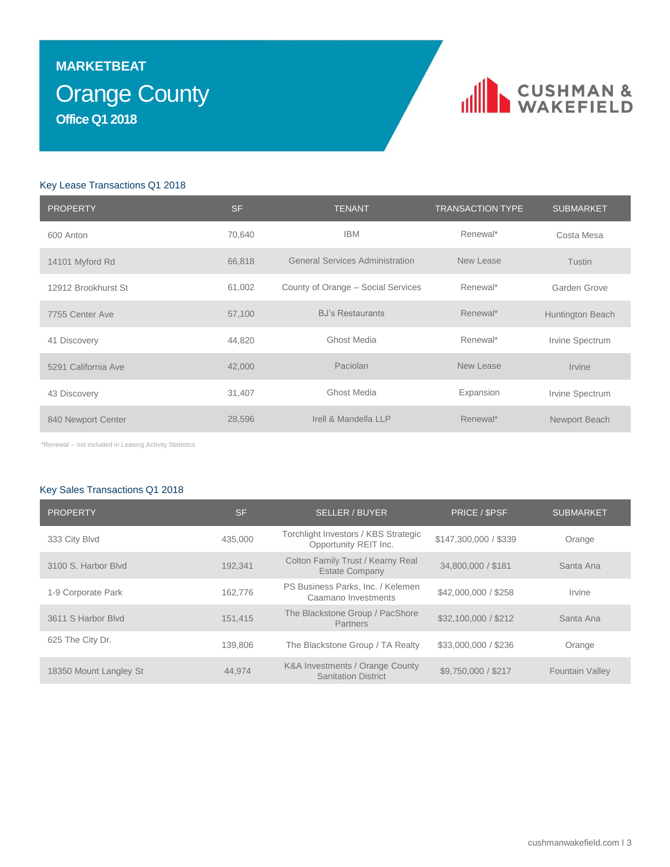### Orange County **MARKETBEAT Office Q1 2018**

### CUSHMAN &

#### Key Lease Transactions Q1 2018

| <b>PROPERTY</b>     | <b>SF</b> | <b>TENANT</b>                          | <b>TRANSACTION TYPE</b> | <b>SUBMARKET</b> |
|---------------------|-----------|----------------------------------------|-------------------------|------------------|
| 600 Anton           | 70,640    | <b>IBM</b>                             | Renewal*                | Costa Mesa       |
| 14101 Myford Rd     | 66,818    | <b>General Services Administration</b> | New Lease               | <b>Tustin</b>    |
| 12912 Brookhurst St | 61,002    | County of Orange - Social Services     | Renewal*                | Garden Grove     |
| 7755 Center Ave     | 57,100    | <b>BJ's Restaurants</b>                | Renewal*                | Huntington Beach |
| 41 Discovery        | 44,820    | <b>Ghost Media</b>                     | Renewal*                | Irvine Spectrum  |
| 5291 California Ave | 42,000    | Paciolan                               | New Lease               | Irvine           |
| 43 Discovery        | 31,407    | <b>Ghost Media</b>                     | Expansion               | Irvine Spectrum  |
| 840 Newport Center  | 28,596    | Irell & Mandella LLP                   | Renewal*                | Newport Beach    |

\*Renewal – not included in Leasing Activity Statistics

### Key Sales Transactions Q1 2018

| <b>PROPERTY</b>        | <b>SF</b> | <b>SELLER / BUYER</b>                                         | PRICE / \$PSF         | <b>SUBMARKET</b>       |
|------------------------|-----------|---------------------------------------------------------------|-----------------------|------------------------|
| 333 City Blvd          | 435,000   | Torchlight Investors / KBS Strategic<br>Opportunity REIT Inc. | \$147,300,000 / \$339 | Orange                 |
| 3100 S. Harbor Blyd    | 192.341   | Colton Family Trust / Kearny Real<br><b>Estate Company</b>    | 34,800,000 / \$181    | Santa Ana              |
| 1-9 Corporate Park     | 162.776   | PS Business Parks, Inc. / Kelemen<br>Caamano Investments      | \$42,000,000 / \$258  | Irvine                 |
| 3611 S Harbor Blvd     | 151.415   | The Blackstone Group / PacShore<br>Partners                   | \$32,100,000 / \$212  | Santa Ana              |
| 625 The City Dr.       | 139,806   | The Blackstone Group / TA Realty                              | \$33,000,000 / \$236  | Orange                 |
| 18350 Mount Langley St | 44.974    | K&A Investments / Orange County<br><b>Sanitation District</b> | \$9,750,000 / \$217   | <b>Fountain Valley</b> |